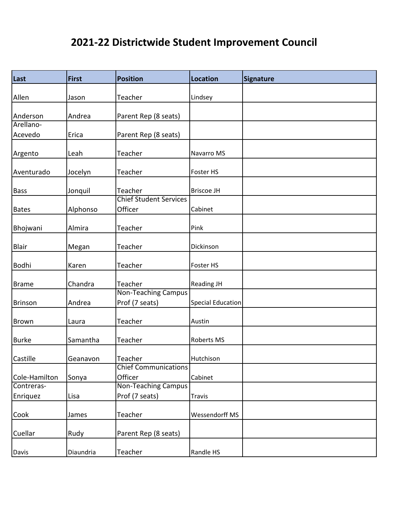| Last           | <b>First</b> | <b>Position</b>                              | <b>Location</b>          | <b>Signature</b> |
|----------------|--------------|----------------------------------------------|--------------------------|------------------|
| Allen          | Jason        | Teacher                                      | Lindsey                  |                  |
|                |              |                                              |                          |                  |
| Anderson       | Andrea       | Parent Rep (8 seats)                         |                          |                  |
| Arellano-      |              |                                              |                          |                  |
| Acevedo        | Erica        | Parent Rep (8 seats)                         |                          |                  |
| Argento        | Leah         | Teacher                                      | Navarro MS               |                  |
| Aventurado     | Jocelyn      | Teacher                                      | Foster HS                |                  |
| <b>Bass</b>    | Jonquil      | Teacher                                      | <b>Briscoe JH</b>        |                  |
|                |              | <b>Chief Student Services</b>                |                          |                  |
| Bates          | Alphonso     | Officer                                      | Cabinet                  |                  |
| Bhojwani       | Almira       | Teacher                                      | Pink                     |                  |
| Blair          | Megan        | Teacher                                      | Dickinson                |                  |
| Bodhi          | Karen        | Teacher                                      | Foster HS                |                  |
| <b>Brame</b>   | Chandra      | Teacher                                      | <b>Reading JH</b>        |                  |
| <b>Brinson</b> | Andrea       | <b>Non-Teaching Campus</b><br>Prof (7 seats) | <b>Special Education</b> |                  |
| Brown          | Laura        | Teacher                                      | Austin                   |                  |
| Burke          | Samantha     | Teacher                                      | Roberts MS               |                  |
| Castille       | Geanavon     | Teacher                                      | Hutchison                |                  |
| Cole-Hamilton  | Sonya        | <b>Chief Communications</b><br>Officer       | Cabinet                  |                  |
| Contreras-     |              | <b>Non-Teaching Campus</b>                   |                          |                  |
| Enriquez       | Lisa         | Prof (7 seats)                               | <b>Travis</b>            |                  |
| Cook           | James        | Teacher                                      | Wessendorff MS           |                  |
| Cuellar        | Rudy         | Parent Rep (8 seats)                         |                          |                  |
| Davis          | Diaundria    | Teacher                                      | Randle HS                |                  |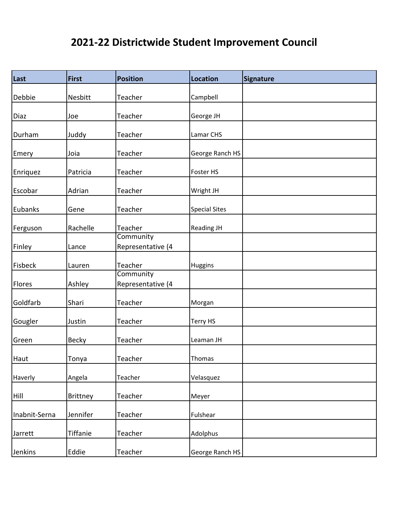| Last            | <b>First</b>    | <b>Position</b>                | <b>Location</b>      | <b>Signature</b> |
|-----------------|-----------------|--------------------------------|----------------------|------------------|
| Debbie          | Nesbitt         | Teacher                        | Campbell             |                  |
|                 |                 |                                |                      |                  |
| Diaz            | Joe             | Teacher                        | George JH            |                  |
| Durham          | Juddy           | Teacher                        | Lamar CHS            |                  |
| Emery           | Joia            | Teacher                        | George Ranch HS      |                  |
| <b>Enriquez</b> | Patricia        | Teacher                        | Foster HS            |                  |
| Escobar         | Adrian          | Teacher                        | Wright JH            |                  |
| Eubanks         | Gene            | Teacher                        | <b>Special Sites</b> |                  |
| Ferguson        | Rachelle        | Teacher                        | <b>Reading JH</b>    |                  |
| Finley          | Lance           | Community<br>Representative (4 |                      |                  |
| Fisbeck         | Lauren          | Teacher                        | Huggins              |                  |
| Flores          | Ashley          | Community<br>Representative (4 |                      |                  |
| Goldfarb        | Shari           | Teacher                        | Morgan               |                  |
| Gougler         | Justin          | Teacher                        | Terry HS             |                  |
| Green           | <b>Becky</b>    | Teacher                        | Leaman JH            |                  |
| Haut            | Tonya           | Teacher                        | Thomas               |                  |
| Haverly         | Angela          | Teacher                        | Velasquez            |                  |
| Hill            | <b>Brittney</b> | Teacher                        | Meyer                |                  |
| Inabnit-Serna   | Jennifer        | Teacher                        | Fulshear             |                  |
| Jarrett         | Tiffanie        | Teacher                        | Adolphus             |                  |
| Jenkins         | Eddie           | Teacher                        | George Ranch HS      |                  |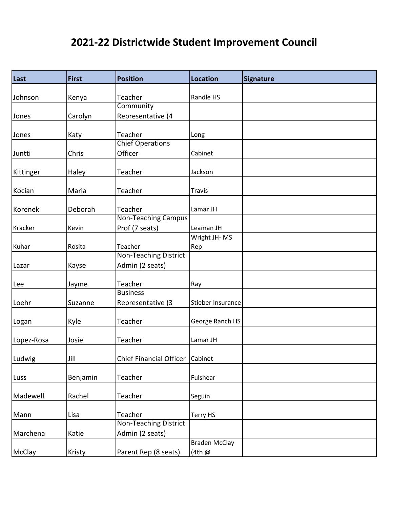| $\vert$ Last | <b>First</b> | <b>Position</b>                 | <b>Location</b>      | <b>Signature</b> |
|--------------|--------------|---------------------------------|----------------------|------------------|
| Johnson      | Kenya        | Teacher                         | Randle HS            |                  |
|              |              | Community                       |                      |                  |
| Jones        |              | Representative (4               |                      |                  |
|              | Carolyn      |                                 |                      |                  |
| Jones        | Katy         | Teacher                         | Long                 |                  |
|              |              | <b>Chief Operations</b>         |                      |                  |
| Juntti       | Chris        | Officer                         | Cabinet              |                  |
|              |              |                                 |                      |                  |
| Kittinger    | Haley        | Teacher                         | Jackson              |                  |
| Kocian       | Maria        | Teacher                         | <b>Travis</b>        |                  |
|              |              |                                 |                      |                  |
| Korenek      | Deborah      | Teacher                         | Lamar JH             |                  |
|              |              | <b>Non-Teaching Campus</b>      |                      |                  |
| Kracker      | Kevin        | Prof (7 seats)                  | Leaman JH            |                  |
|              |              |                                 | Wright JH-MS         |                  |
| Kuhar        | Rosita       | Teacher                         | Rep                  |                  |
|              |              | <b>Non-Teaching District</b>    |                      |                  |
| Lazar        | Kayse        | Admin (2 seats)                 |                      |                  |
|              |              |                                 |                      |                  |
| Lee          | Jayme        | Teacher                         | Ray                  |                  |
|              |              | <b>Business</b>                 |                      |                  |
| Loehr        | Suzanne      | Representative (3               | Stieber Insurance    |                  |
| Logan        | Kyle         | Teacher                         | George Ranch HS      |                  |
|              |              | Teacher                         |                      |                  |
| Lopez-Rosa   | Josie        |                                 | Lamar JH             |                  |
| Ludwig       | Jill         | Chief Financial Officer Cabinet |                      |                  |
|              |              |                                 |                      |                  |
| Luss         | Benjamin     | Teacher                         | Fulshear             |                  |
| Madewell     | Rachel       | Teacher                         | Seguin               |                  |
|              |              |                                 |                      |                  |
| Mann         | Lisa         | Teacher                         | Terry HS             |                  |
|              |              | <b>Non-Teaching District</b>    |                      |                  |
| Marchena     | Katie        | Admin (2 seats)                 |                      |                  |
|              |              |                                 | <b>Braden McClay</b> |                  |
| McClay       | Kristy       | Parent Rep (8 seats)            | (4th @               |                  |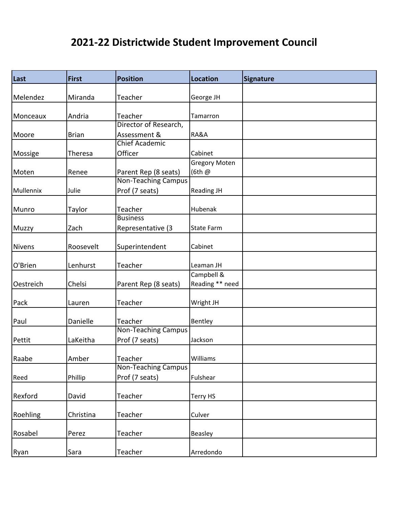| Last      | <b>First</b> | <b>Position</b>            | <b>Location</b>      | Signature |
|-----------|--------------|----------------------------|----------------------|-----------|
|           |              |                            |                      |           |
| Melendez  | Miranda      | Teacher                    | George JH            |           |
| Monceaux  | Andria       | Teacher                    | Tamarron             |           |
|           |              | Director of Research,      |                      |           |
| Moore     | <b>Brian</b> | Assessment &               | RA&A                 |           |
|           |              | <b>Chief Academic</b>      |                      |           |
| Mossige   | Theresa      | Officer                    | Cabinet              |           |
|           |              |                            | <b>Gregory Moten</b> |           |
| Moten     | Renee        | Parent Rep (8 seats)       | (6th @               |           |
|           |              | Non-Teaching Campus        |                      |           |
| Mullennix | Julie        | Prof (7 seats)             | <b>Reading JH</b>    |           |
| Munro     | Taylor       | Teacher                    | Hubenak              |           |
|           |              | <b>Business</b>            |                      |           |
| Muzzy     | Zach         | Representative (3          | State Farm           |           |
|           |              |                            |                      |           |
| Nivens    | Roosevelt    | Superintendent             | Cabinet              |           |
| O'Brien   | Lenhurst     | Teacher                    | Leaman JH            |           |
|           |              |                            | Campbell &           |           |
| Oestreich | Chelsi       | Parent Rep (8 seats)       | Reading ** need      |           |
| Pack      | Lauren       | Teacher                    | Wright JH            |           |
| Paul      | Danielle     | Teacher                    | Bentley              |           |
|           |              | <b>Non-Teaching Campus</b> |                      |           |
| Pettit    | LaKeitha     | Prof (7 seats)             | Jackson              |           |
| Raabe     | Amber        | Teacher                    | Williams             |           |
|           |              | <b>Non-Teaching Campus</b> |                      |           |
| Reed      | Phillip      | Prof (7 seats)             | Fulshear             |           |
| Rexford   | David        | Teacher                    | Terry HS             |           |
|           |              |                            |                      |           |
| Roehling  | Christina    | Teacher                    | Culver               |           |
| Rosabel   | Perez        | Teacher                    | Beasley              |           |
|           | Sara         | Teacher                    | Arredondo            |           |
| Ryan      |              |                            |                      |           |